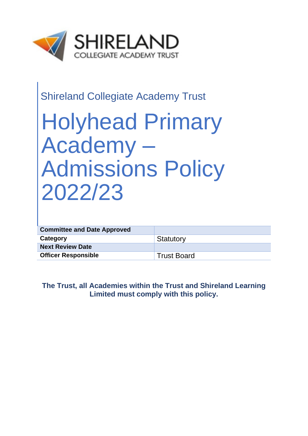

# Shireland Collegiate Academy Trust

# Holyhead Primary Academy – Admissions Policy 2022/23

| <b>Committee and Date Approved</b> |             |
|------------------------------------|-------------|
| Category                           | Statutory   |
| <b>Next Review Date</b>            |             |
| <b>Officer Responsible</b>         | Trust Board |

**The Trust, all Academies within the Trust and Shireland Learning Limited must comply with this policy.**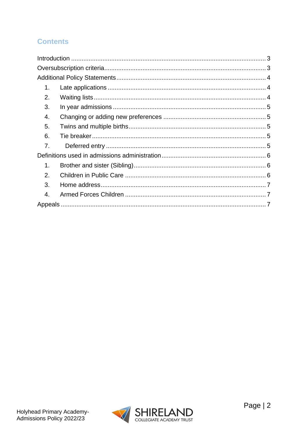# **Contents**

| 1. |  |  |
|----|--|--|
| 2. |  |  |
| 3. |  |  |
| 4. |  |  |
| 5. |  |  |
| 6. |  |  |
| 7. |  |  |
|    |  |  |
| 1. |  |  |
| 2. |  |  |
| 3. |  |  |
| 4. |  |  |
|    |  |  |

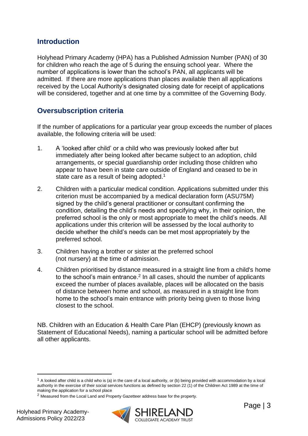### <span id="page-2-0"></span>**Introduction**

Holyhead Primary Academy (HPA) has a Published Admission Number (PAN) of 30 for children who reach the age of 5 during the ensuing school year. Where the number of applications is lower than the school's PAN, all applicants will be admitted. If there are more applications than places available then all applications received by the Local Authority's designated closing date for receipt of applications will be considered, together and at one time by a committee of the Governing Body.

# <span id="page-2-1"></span>**Oversubscription criteria**

If the number of applications for a particular year group exceeds the number of places available, the following criteria will be used:

- 1. A 'looked after child' or a child who was previously looked after but immediately after being looked after became subject to an adoption, child arrangements, or special guardianship order including those children who appear to have been in state care outside of England and ceased to be in state care as a result of being adopted.<sup>1</sup>
- 2. Children with a particular medical condition. Applications submitted under this criterion must be accompanied by a medical declaration form (ASU75M) signed by the child's general practitioner or consultant confirming the condition, detailing the child's needs and specifying why, in their opinion, the preferred school is the only or most appropriate to meet the child's needs. All applications under this criterion will be assessed by the local authority to decide whether the child's needs can be met most appropriately by the preferred school.
- 3. Children having a brother or sister at the preferred school (not nursery) at the time of admission.
- 4. Children prioritised by distance measured in a straight line from a child's home to the school's main entrance.<sup>2</sup> In all cases, should the number of applicants exceed the number of places available, places will be allocated on the basis of distance between home and school, as measured in a straight line from home to the school's main entrance with priority being given to those living closest to the school.

NB. Children with an Education & Health Care Plan (EHCP) (previously known as Statement of Educational Needs), naming a particular school will be admitted before all other applicants.



 $1$  A looked after child is a child who is (a) in the care of a local authority, or (b) being provided with accommodation by a local authority in the exercise of their social services functions as defined by section 22 (1) of the Children Act 1989 at the time of making the application for a school place

<sup>2</sup> Measured from the Local Land and Property Gazetteer address base for the property.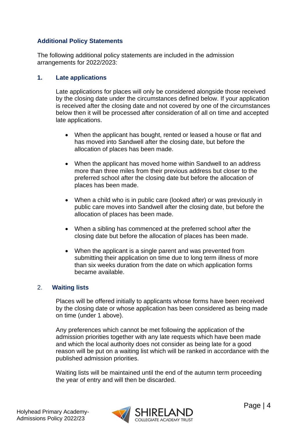#### <span id="page-3-0"></span>**Additional Policy Statements**

The following additional policy statements are included in the admission arrangements for 2022/2023:

#### <span id="page-3-1"></span>**1. Late applications**

Late applications for places will only be considered alongside those received by the closing date under the circumstances defined below. If your application is received after the closing date and not covered by one of the circumstances below then it will be processed after consideration of all on time and accepted late applications.

- When the applicant has bought, rented or leased a house or flat and has moved into Sandwell after the closing date, but before the allocation of places has been made.
- When the applicant has moved home within Sandwell to an address more than three miles from their previous address but closer to the preferred school after the closing date but before the allocation of places has been made.
- When a child who is in public care (looked after) or was previously in public care moves into Sandwell after the closing date, but before the allocation of places has been made.
- When a sibling has commenced at the preferred school after the closing date but before the allocation of places has been made.
- When the applicant is a single parent and was prevented from submitting their application on time due to long term illness of more than six weeks duration from the date on which application forms became available.

#### <span id="page-3-2"></span>2. **Waiting lists**

Places will be offered initially to applicants whose forms have been received by the closing date or whose application has been considered as being made on time (under 1 above).

Any preferences which cannot be met following the application of the admission priorities together with any late requests which have been made and which the local authority does not consider as being late for a good reason will be put on a waiting list which will be ranked in accordance with the published admission priorities.

Waiting lists will be maintained until the end of the autumn term proceeding the year of entry and will then be discarded.

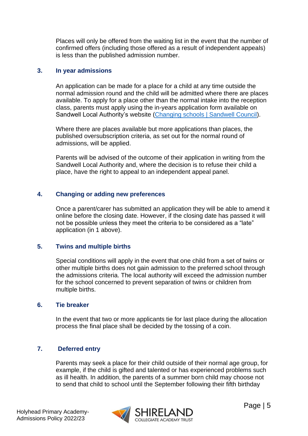Places will only be offered from the waiting list in the event that the number of confirmed offers (including those offered as a result of independent appeals) is less than the published admission number.

#### <span id="page-4-0"></span>**3. In year admissions**

An application can be made for a place for a child at any time outside the normal admission round and the child will be admitted where there are places available. To apply for a place other than the normal intake into the reception class, parents must apply using the in-years application form available on Sandwell Local Authority's website [\(Changing schools | Sandwell Council\)](https://www.sandwell.gov.uk/info/200303/school_admissions/2053/changing_schools).

Where there are places available but more applications than places, the published oversubscription criteria, as set out for the normal round of admissions, will be applied.

Parents will be advised of the outcome of their application in writing from the Sandwell Local Authority and, where the decision is to refuse their child a place, have the right to appeal to an independent appeal panel.

#### <span id="page-4-1"></span>**4. Changing or adding new preferences**

Once a parent/carer has submitted an application they will be able to amend it online before the closing date. However, if the closing date has passed it will not be possible unless they meet the criteria to be considered as a "late" application (in 1 above).

#### <span id="page-4-2"></span>**5. Twins and multiple births**

Special conditions will apply in the event that one child from a set of twins or other multiple births does not gain admission to the preferred school through the admissions criteria. The local authority will exceed the admission number for the school concerned to prevent separation of twins or children from multiple births.

#### <span id="page-4-3"></span>**6. Tie breaker**

In the event that two or more applicants tie for last place during the allocation process the final place shall be decided by the tossing of a coin.

#### <span id="page-4-4"></span>**7. Deferred entry**

Parents may seek a place for their child outside of their normal age group, for example, if the child is gifted and talented or has experienced problems such as ill health. In addition, the parents of a summer born child may choose not to send that child to school until the September following their fifth birthday

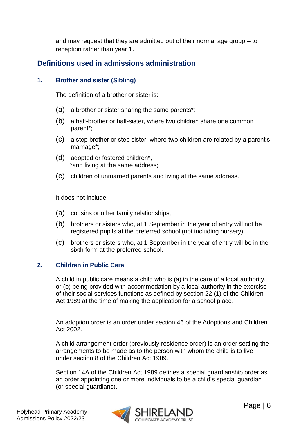and may request that they are admitted out of their normal age group – to reception rather than year 1.

# <span id="page-5-0"></span>**Definitions used in admissions administration**

#### <span id="page-5-1"></span>**1. Brother and sister (Sibling)**

The definition of a brother or sister is:

- (a) a brother or sister sharing the same parents\*;
- (b) a half-brother or half-sister, where two children share one common parent\*;
- (c) a step brother or step sister, where two children are related by a parent's marriage\*;
- (d) adopted or fostered children\*, \*and living at the same address;
- (e) children of unmarried parents and living at the same address.

It does not include:

- (a) cousins or other family relationships;
- (b) brothers or sisters who, at 1 September in the year of entry will not be registered pupils at the preferred school (not including nursery);
- (c) brothers or sisters who, at 1 September in the year of entry will be in the sixth form at the preferred school.

#### <span id="page-5-2"></span>**2. Children in Public Care**

A child in public care means a child who is (a) in the care of a local authority, or (b) being provided with accommodation by a local authority in the exercise of their social services functions as defined by section 22 (1) of the Children Act 1989 at the time of making the application for a school place.

An adoption order is an order under section 46 of the Adoptions and Children Act 2002.

A child arrangement order (previously residence order) is an order settling the arrangements to be made as to the person with whom the child is to live under section 8 of the Children Act 1989.

Section 14A of the Children Act 1989 defines a special guardianship order as an order appointing one or more individuals to be a child's special guardian (or special guardians).

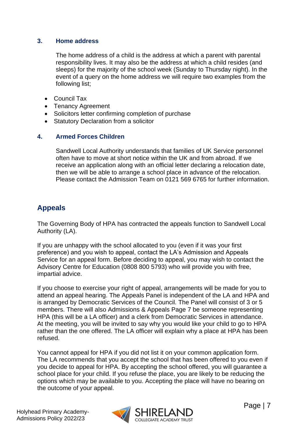#### <span id="page-6-0"></span>**3. Home address**

The home address of a child is the address at which a parent with parental responsibility lives. It may also be the address at which a child resides (and sleeps) for the majority of the school week (Sunday to Thursday night). In the event of a query on the home address we will require two examples from the following list;

- Council Tax
- Tenancy Agreement
- Solicitors letter confirming completion of purchase
- Statutory Declaration from a solicitor

#### <span id="page-6-1"></span>**4. Armed Forces Children**

Sandwell Local Authority understands that families of UK Service personnel often have to move at short notice within the UK and from abroad. If we receive an application along with an official letter declaring a relocation date, then we will be able to arrange a school place in advance of the relocation. Please contact the Admission Team on 0121 569 6765 for further information.

# <span id="page-6-2"></span>**Appeals**

The Governing Body of HPA has contracted the appeals function to Sandwell Local Authority (LA).

If you are unhappy with the school allocated to you (even if it was your first preference) and you wish to appeal, contact the LA's Admission and Appeals Service for an appeal form. Before deciding to appeal, you may wish to contact the Advisory Centre for Education (0808 800 5793) who will provide you with free, impartial advice.

If you choose to exercise your right of appeal, arrangements will be made for you to attend an appeal hearing. The Appeals Panel is independent of the LA and HPA and is arranged by Democratic Services of the Council. The Panel will consist of 3 or 5 members. There will also Admissions & Appeals Page 7 be someone representing HPA (this will be a LA officer) and a clerk from Democratic Services in attendance. At the meeting, you will be invited to say why you would like your child to go to HPA rather than the one offered. The LA officer will explain why a place at HPA has been refused.

You cannot appeal for HPA if you did not list it on your common application form. The LA recommends that you accept the school that has been offered to you even if you decide to appeal for HPA. By accepting the school offered, you will guarantee a school place for your child. If you refuse the place, you are likely to be reducing the options which may be available to you. Accepting the place will have no bearing on the outcome of your appeal.